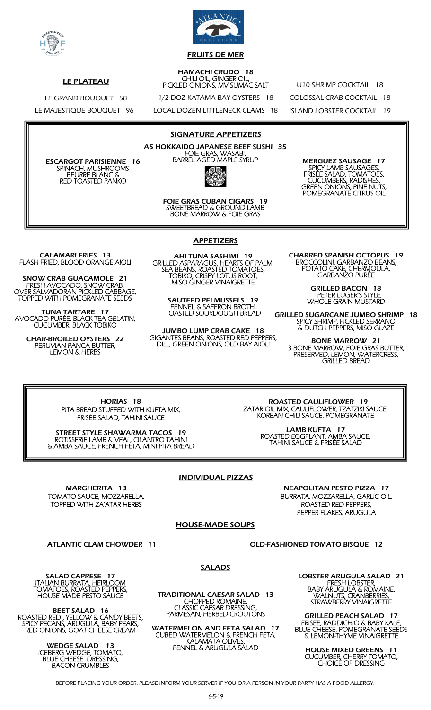



## FRUITS DE MER

#### HAMACHI CRUDO 18 CHILI OIL, GINGER OIL, PICKLED ONIONS, MV SUMAC SALT

1/2 DOZ KATAMA BAY OYSTERS 18

LOCAL DOZEN LITTLENECK CLAMS 18

U10 SHRIMP COCKTAIL 18 COLOSSAL CRAB COCKTAIL 18 ISLAND LOBSTER COCKTAIL 19

LE GRAND BOUQUET 58 LE MAJESTIQUE BOUQUET 96

LE PLATEAU

ESCARGOT PARISIENNE 16 SPINACH, MUSHROOMS BEURRE BLANC & RED TOASTED PANKO

SIGNATURE APPETIZERS

A5 HOKKAIDO JAPANESE BEEF SUSHI 35 FOIE GRAS, WASABI, BARREL AGED MAPLE SYRUP

> FOIE GRAS CUBAN CIGARS 19 SWEETBREAD & GROUND LAMB BONE MARROW & FOIE GRAS

MERGUEZ SAUSAGE 17 SPICY LAMB SAUSAGES, FRISÉE SALAD, TOMATOES, CUCUMBERS, RADISHES, GREEN ONIONS, PINE NUTS, POMEGRANATE CITRUS OIL

CALAMARI FRIES 13 FLASH FRIED, BLOOD ORANGE AIOLI

SNOW CRAB GUACAMOLE 21 FRESH AVOCADO, SNOW CRAB, OVER SALVADORAN PICKLED CABBAGE, TOPPED WITH POMEGRANATE SEEDS

TUNA TARTARE 17 AVOCADO PURÉE, BLACK TEA GELATIN, CUCUMBER, BLACK TOBIKO

> CHAR-BROILED OYSTERS 22 PERUVIAN PANCA BUTTER, LEMON & HERBS

APPETIZERS

AHI TUNA SASHIMI 19 GRILLED ASPARAGUS, HEARTS OF PALM, SEA BEANS, ROASTED TOMATOES, TOBIKO, CRISPY LOTUS ROOT, MISO GINGER VINAIGRETTE

SAUTEED PEI MUSSELS 19 FENNEL & SAFFRON BROTH, TOASTED SOURDOUGH BREAD

JUMBO LUMP CRAB CAKE 18 GIGANTES BEANS, ROASTED RED PEPPERS, DILL, GREEN ONIONS, OLD BAY AIOLI

CHARRED SPANISH OCTOPUS 19 BROCCOLINI, GARBANZO BEANS, POTATO CAKE, CHERMOULA, GARBANZO PURÉE

> GRILLED BACON 18 PETER LUGER'S STYLE, WHOLE GRAIN MUSTARD

GRILLED SUGARCANE JUMBO SHRIMP 18 SPICY SHRIMP, PICKLED SERRANO & DUTCH PEPPERS, MISO GLAZE

BONE MARROW 21 3 BONE MARROW, FOIE GRAS BUTTER, PRESERVED, LEMON, WATERCRESS, GRILLED BREAD

HORIAS 18 PITA BREAD STUFFED WITH KUFTA MIX, FRISÉE SALAD, TAHINI SAUCE

STREET STYLE SHAWARMA TACOS 19 ROTISSERIE LAMB & VEAL, CILANTRO TAHINI & AMBA SAUCE, FRENCH FETA, MINI PITA BREAD

 ROASTED CAULIFLOWER 19 ZATAR OIL MIX, CAULIFLOWER, TZATZIKI SAUCE, KOREAN CHILI SAUCE, POMEGRANATE

> LAMB KUFTA 17 ROASTED EGGPLANT, AMBA SAUCE, TAHINI SAUCE & FRISÉE SALAD

## INDIVIDUAL PIZZAS

MARGHERITA 13 TOMATO SAUCE, MOZZARELLA, TOPPED WITH ZA'ATAR HERBS

NEAPOLITAN PESTO PIZZA 17 BURRATA, MOZZARELLA, GARLIC OIL, ROASTED RED PEPPERS, PEPPER FLAKES, ARUGULA

## HOUSE-MADE SOUPS

ATLANTIC CLAM CHOWDER 11 OLD-FASHIONED TOMATO BISQUE 12

SALAD CAPRESE 17 ITALIAN BURRATA, HEIRLOOM TOMATOES, ROASTED PEPPERS, HOUSE MADE PESTO SAUCE

BEET SALAD 16 ROASTED RED , YELLOW & CANDY BEETS, SPICY PECANS, ARUGULA, BABY PEARS, RED ONIONS, GOAT CHEESE CREAM

> WEDGE SALAD 13 ICEBERG WEDGE, TOMATO, BLUE CHEESE DRESSING, BACON CRUMBLES

## SALADS

TRADITIONAL CAESAR SALAD 13 CHOPPED ROMAINE, CLASSIC CAESAR DRESSING, PARMESAN, HERBED CROUTONS

WATERMELON AND FETA SALAD 17 CUBED WATERMELON & FRENCH FETA, KALAMATA OLIVES, FENNEL & ARUGULA SALAD

LOBSTER ARUGULA SALAD 21 FRESH LOBSTER, BABY ARUGULA & ROMAINE, WALNUTS, CRANBERRIES, STRAWBERRY VINAIGRETTE

GRILLED PEACH SALAD 17 FRISEE, RADDICHIO & BABY KALE, BLUE CHEESE, POMEGRANATE SEEDS & LEMON-THYME VINAIGRETTE

HOUSE MIXED GREENS 11 CUCUMBER, CHERRY TOMATO, CHOICE OF DRESSING

BEFORE PLACING YOUR ORDER, PLEASE INFORM YOUR SERVER IF YOU OR A PERSON IN YOUR PARTY HAS A FOOD ALLERGY.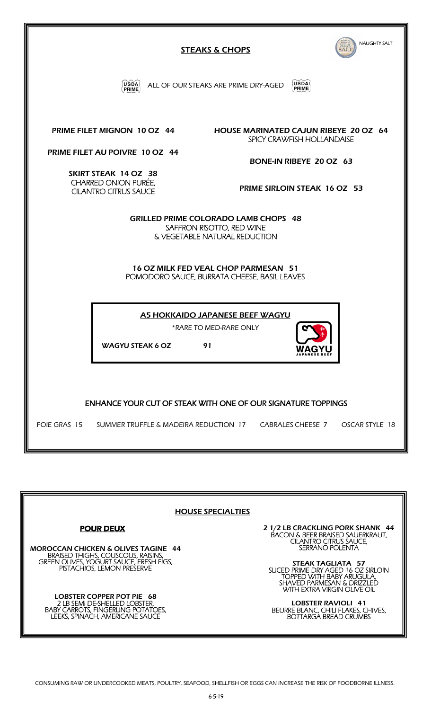| NAUGHTY SALT<br><b>STEAKS &amp; CHOPS</b>                                                                           |
|---------------------------------------------------------------------------------------------------------------------|
| USDA<br>USDA(<br>ALL OF OUR STEAKS ARE PRIME DRY-AGED<br>PRIME                                                      |
| PRIME FILET MIGNON 10 OZ 44<br><b>HOUSE MARINATED CAJUN RIBEYE 20 OZ 64</b><br>SPICY CRAWFISH HOLLANDAISE           |
| PRIME FILET AU POIVRE 10 OZ 44<br>BONE-IN RIBEYE 20 OZ 63                                                           |
| SKIRT STEAK 14 OZ 38<br><b>CHARRED ONION PURÉE.</b><br>PRIME SIRLOIN STEAK 16 OZ 53<br><b>CILANTRO CITRUS SAUCE</b> |
| <b>GRILLED PRIME COLORADO LAMB CHOPS 48</b><br>SAFFRON RISOTTO, RED WINE<br>& VEGETABLE NATURAL REDUCTION           |
| 16 OZ MILK FED VEAL CHOP PARMESAN 51<br>POMODORO SAUCE, BURRATA CHEESE, BASIL LEAVES                                |
| A5 HOKKAIDO JAPANESE BEEF WAGYU<br>*RARE TO MED-RARE ONLY<br><b>WAGYU STEAK 6 OZ</b><br>91<br><b>WAGYU</b>          |
| <b>ENHANCE YOUR CUT OF STEAK WITH ONE OF OUR SIGNATURE TOPPINGS</b>                                                 |
| FOIE GRAS 15 SUMMER TRUFFLE & MADEIRA REDUCTION 17 CABRALES CHEESE 7<br>OSCAR STYLE 18                              |



Ш